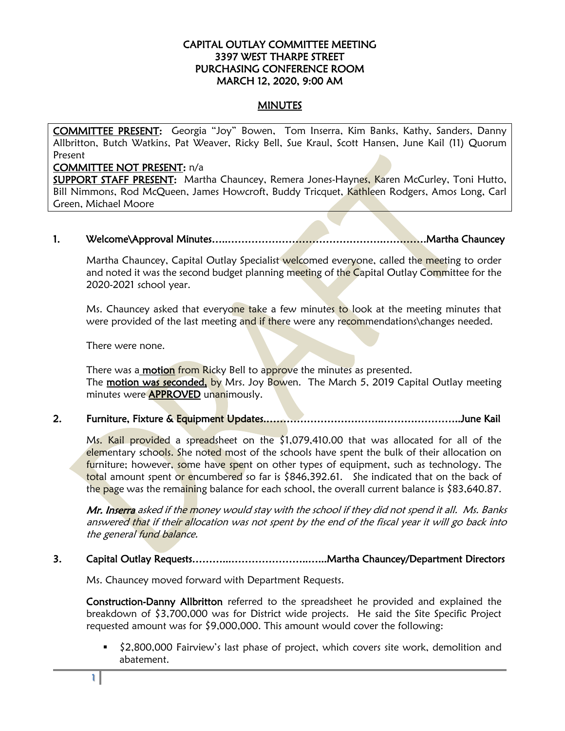# CAPITAL OUTLAY COMMITTEE MEETING 3397 WEST THARPE STREET PURCHASING CONFERENCE ROOM MARCH 12, 2020, 9:00 AM

# **MINUTES**

COMMITTEE PRESENT: Georgia "Joy" Bowen, Tom Inserra, Kim Banks, Kathy, Sanders, Danny Allbritton, Butch Watkins, Pat Weaver, Ricky Bell, Sue Kraul, Scott Hansen, June Kail (11) Quorum Present

#### COMMITTEE NOT PRESENT: n/a

SUPPORT STAFF PRESENT: Martha Chauncey, Remera Jones-Haynes, Karen McCurley, Toni Hutto, Bill Nimmons, Rod McQueen, James Howcroft, Buddy Tricquet, Kathleen Rodgers, Amos Long, Carl Green, Michael Moore

# 1. Welcome\Approval Minutes…..……………………………………….………….Martha Chauncey

Martha Chauncey, Capital Outlay Specialist welcomed everyone, called the meeting to order and noted it was the second budget planning meeting of the Capital Outlay Committee for the 2020-2021 school year.

Ms. Chauncey asked that everyone take a few minutes to look at the meeting minutes that were provided of the last meeting and if there were any recommendations\changes needed.

There were none.

There was a **motion** from Ricky Bell to approve the minutes as presented. The motion was seconded, by Mrs. Joy Bowen. The March 5, 2019 Capital Outlay meeting minutes were **APPROVED** unanimously.

2. Furniture, Fixture & Equipment Updates.……………………………..…………………..June Kail

Ms. Kail provided a spreadsheet on the \$1,079,410.00 that was allocated for all of the elementary schools. She noted most of the schools have spent the bulk of their allocation on furniture; however, some have spent on other types of equipment, such as technology. The total amount spent or encumbered so far is \$846,392.61. She indicated that on the back of the page was the remaining balance for each school, the overall current balance is \$83,640.87.

Mr. Inserra asked if the money would stay with the school if they did not spend it all. Ms. Banks answered that if their allocation was not spent by the end of the fiscal year it will go back into the general fund balance.

### 3. Capital Outlay Requests………...…………………..…...Martha Chauncey/Department Directors

Ms. Chauncey moved forward with Department Requests.

Construction-Danny Allbritton referred to the spreadsheet he provided and explained the breakdown of \$3,700,000 was for District wide projects. He said the Site Specific Project requested amount was for \$9,000,000. This amount would cover the following:

 \$2,800,000 Fairview's last phase of project, which covers site work, demolition and abatement.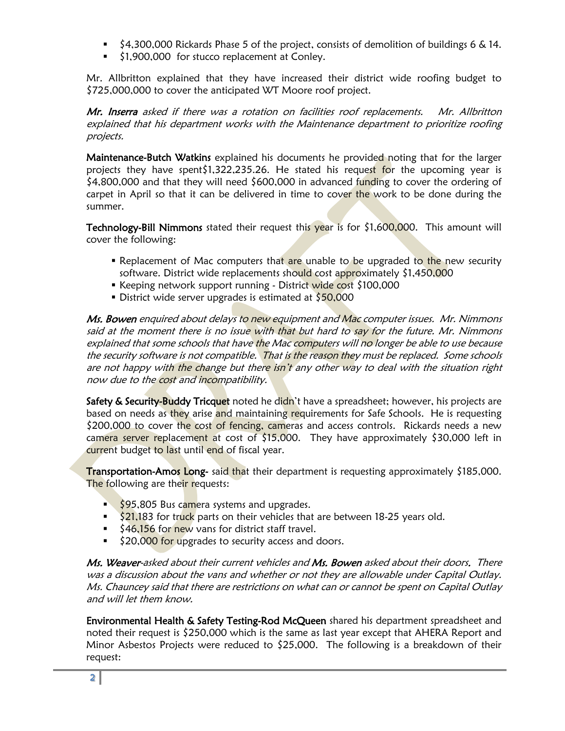- $\frac{1}{2}$  \$4,300,000 Rickards Phase 5 of the project, consists of demolition of buildings 6 & 14.
- $\frac{1}{2}$  \$1,900,000 for stucco replacement at Conley.

Mr. Allbritton explained that they have increased their district wide roofing budget to \$725,000,000 to cover the anticipated WT Moore roof project.

Mr. Inserra asked if there was a rotation on facilities roof replacements. Mr. Allbritton explained that his department works with the Maintenance department to prioritize roofing projects.

Maintenance-Butch Watkins explained his documents he provided noting that for the larger projects they have spent\$1,322,235.26. He stated his request for the upcoming year is  $$4,800,000$  and that they will need  $$600,000$  in advanced funding to cover the ordering of carpet in April so that it can be delivered in time to cover the work to be done during the summer.

Technology-Bill Nimmons stated their request this year is for \$1,600,000. This amount will cover the following:

- **P** Replacement of Mac computers that are unable to be upgraded to the new security software. District wide replacements should cost approximately \$1,450,000
- Exeeping network support running District wide cost \$100,000
- District wide server upgrades is estimated at \$50,000

Ms. Bowen enquired about delays to new equipment and Mac computer issues. Mr. Nimmons said at the moment there is no issue with that but hard to say for the future. Mr. Nimmons explained that some schools that have the Mac computers will no longer be able to use because the security software is not compatible. That is the reason they must be replaced. Some schools are not happy with the change but there isn't any other way to deal with the situation right now due to the cost and incompatibility.

Safety & Security-Buddy Tricquet noted he didn't have a spreadsheet; however, his projects are based on needs as they arise and maintaining requirements for Safe Schools. He is requesting \$200,000 to cover the cost of fencing, cameras and access controls. Rickards needs a new camera server replacement at cost of  $$15,000$ . They have approximately  $$30,000$  left in current budget to last until end of fiscal year.

Transportation-Amos Long- said that their department is requesting approximately \$185,000. The following are their requests:

- $\frac{1}{5}$  \$95,805 Bus camera systems and upgrades.
- $\frac{21.183}{21.183}$  for truck parts on their vehicles that are between 18-25 years old.
- **546,156 for new vans for district staff travel.**
- \$20,000 for upgrades to security access and doors.

Ms. Weaver-asked about their current vehicles and Ms. Bowen asked about their doors. There was a discussion about the vans and whether or not they are allowable under Capital Outlay. Ms. Chauncey said that there are restrictions on what can or cannot be spent on Capital Outlay and will let them know.

**Environmental Health & Safety Testing-Rod McQueen** shared his department spreadsheet and noted their request is \$250,000 which is the same as last year except that AHERA Report and Minor Asbestos Projects were reduced to \$25,000. The following is a breakdown of their request: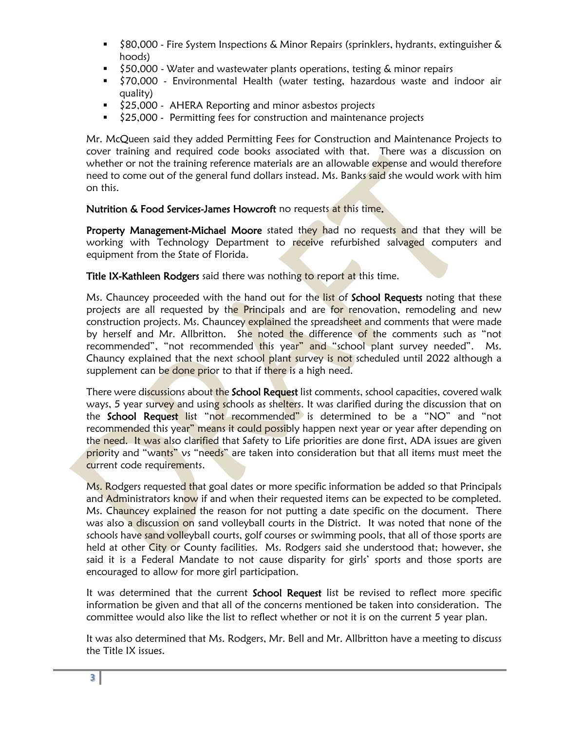- \$80,000 Fire System Inspections & Minor Repairs (sprinklers, hydrants, extinguisher & hoods)
- \$50,000 Water and wastewater plants operations, testing & minor repairs
- **570,000 Environmental Health (water testing, hazardous waste and indoor air** quality)
- \$25,000 AHERA Reporting and minor asbestos projects
- $\frac{1}{2}$  \$25,000 Permitting fees for construction and maintenance projects

Mr. McQueen said they added Permitting Fees for Construction and Maintenance Projects to cover training and required code books associated with that. There was a discussion on whether or not the training reference materials are an allowable expense and would therefore need to come out of the general fund dollars instead. Ms. Banks said she would work with him on this.

# Nutrition & Food Services-James Howcroft no requests at this time.

Property Management-Michael Moore stated they had no requests and that they will be working with Technology Department to receive refurbished salvaged computers and equipment from the State of Florida.

Title IX-Kathleen Rodgers said there was nothing to report at this time.

Ms. Chauncey proceeded with the hand out for the list of School Requests noting that these projects are all requested by the Principals and are for renovation, remodeling and new construction projects. Ms. Chauncey explained the spreadsheet and comments that were made by herself and Mr. Allbritton. She noted the difference of the comments such as "not recommended", "not recommended this year" and "school plant survey needed". Ms. Chauncy explained that the next school plant survey is not scheduled until 2022 although a supplement can be done prior to that if there is a high need.

There were discussions about the School Request list comments, school capacities, covered walk ways, 5 year survey and using schools as shelters. It was clarified during the discussion that on the **School Request** list "not recommended" is determined to be a "NO" and "not recommended this year" means it could possibly happen next year or year after depending on the need. It was also clarified that Safety to Life priorities are done first, ADA issues are given priority and "wants" vs "needs" are taken into consideration but that all items must meet the current code requirements.

Ms. Rodgers requested that goal dates or more specific information be added so that Principals and Administrators know if and when their requested items can be expected to be completed. Ms. Chauncey explained the reason for not putting a date specific on the document. There was also a discussion on sand volleyball courts in the District. It was noted that none of the schools have sand volleyball courts, golf courses or swimming pools, that all of those sports are held at other City or County facilities. Ms. Rodgers said she understood that; however, she said it is a Federal Mandate to not cause disparity for girls' sports and those sports are encouraged to allow for more girl participation.

It was determined that the current **School Request** list be revised to reflect more specific information be given and that all of the concerns mentioned be taken into consideration. The committee would also like the list to reflect whether or not it is on the current 5 year plan.

It was also determined that Ms. Rodgers, Mr. Bell and Mr. Allbritton have a meeting to discuss the Title IX issues.